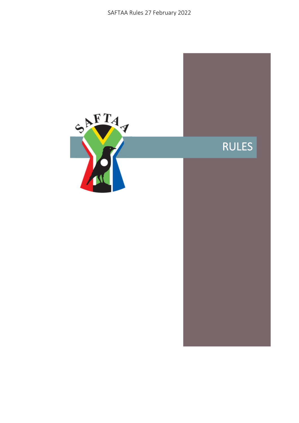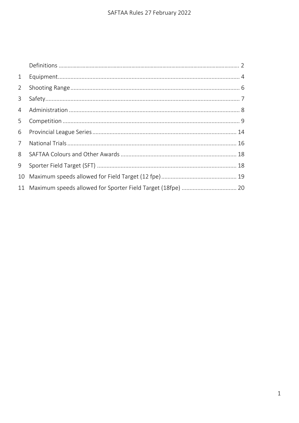| 1              |  |
|----------------|--|
| $\overline{2}$ |  |
| $\mathbf{3}$   |  |
| $\overline{4}$ |  |
| 5              |  |
| 6              |  |
| $7^{\circ}$    |  |
| 8              |  |
| 9              |  |
| 10             |  |
| 11             |  |
|                |  |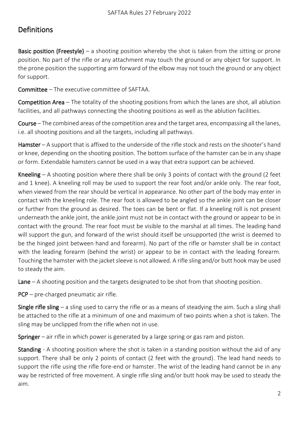# Definitions

**Basic position (Freestyle)** – a shooting position whereby the shot is taken from the sitting or prone position. No part of the rifle or any attachment may touch the ground or any object for support. In the prone position the supporting arm forward of the elbow may not touch the ground or any object for support.

Committee – The executive committee of SAFTAA.

Competition Area – The totality of the shooting positions from which the lanes are shot, all ablution facilities, and all pathways connecting the shooting positions as well as the ablution facilities.

Course – The combined areas of the competition area and the target area, encompassing all the lanes, i.e. all shooting positions and all the targets, including all pathways.

Hamster – A support that is affixed to the underside of the rifle stock and rests on the shooter's hand or knee, depending on the shooting position. The bottom surface of the hamster can be in any shape or form. Extendable hamsters cannot be used in a way that extra support can be achieved.

Kneeling – A shooting position where there shall be only 3 points of contact with the ground (2 feet and 1 knee). A kneeling roll may be used to support the rear foot and/or ankle only. The rear foot, when viewed from the rear should be vertical in appearance. No other part of the body may enter in contact with the kneeling role. The rear foot is allowed to be angled so the ankle joint can be closer or further from the ground as desired. The toes can be bent or flat. If a kneeling roll is not present underneath the ankle joint, the ankle joint must not be in contact with the ground or appear to be in contact with the ground. The rear foot must be visible to the marshal at all times. The leading hand will support the gun, and forward of the wrist should itself be unsupported (the wrist is deemed to be the hinged joint between hand and forearm). No part of the rifle or hamster shall be in contact with the leading forearm (behind the wrist) or appear to be in contact with the leading forearm. Touching the hamster with the jacket sleeve is not allowed. A rifle sling and/or butt hook may be used to steady the aim.

Lane  $-A$  shooting position and the targets designated to be shot from that shooting position.

PCP – pre-charged pneumatic air rifle.

**Single rifle sling** – a sling used to carry the rifle or as a means of steadying the aim. Such a sling shall be attached to the rifle at a minimum of one and maximum of two points when a shot is taken. The sling may be unclipped from the rifle when not in use.

Springer – air rifle in which power is generated by a large spring or gas ram and piston.

Standing - A shooting position where the shot is taken in a standing position without the aid of any support. There shall be only 2 points of contact (2 feet with the ground). The lead hand needs to support the rifle using the rifle fore-end or hamster. The wrist of the leading hand cannot be in any way be restricted of free movement. A single rifle sling and/or butt hook may be used to steady the aim.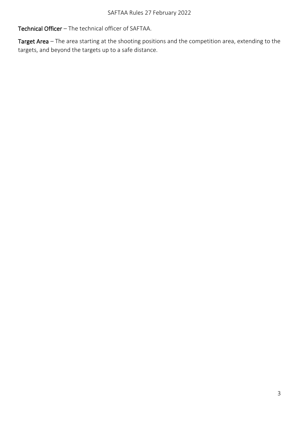Technical Officer – The technical officer of SAFTAA.

Target Area - The area starting at the shooting positions and the competition area, extending to the targets, and beyond the targets up to a safe distance.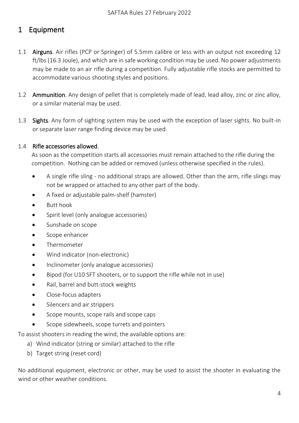# <span id="page-4-0"></span>1 Equipment

- 1.1 Airguns. Air rifles (PCP or Springer) of 5.5mm calibre or less with an output not exceeding 12 ft/lbs (16.3 Joule), and which are in safe working condition may be used. No power adjustments may be made to an air rifle during a competition. Fully adjustable rifle stocks are permitted to accommodate various shooting styles and positions.
- 1.2 Ammunition. Any design of pellet that is completely made of lead, lead alloy, zinc or zinc alloy, or a similar material may be used.
- 1.3 Sights. Any form of sighting system may be used with the exception of laser sights. No built-in or separate laser range finding device may be used.

#### 1.4 Rifle accessories allowed.

As soon as the competition starts all accessories must remain attached to the rifle during the competition. Nothing can be added or removed (unless otherwise specified in the rules).

- A single rifle sling no additional straps are allowed. Other than the arm, rifle slings may not be wrapped or attached to any other part of the body.
- A fixed or adjustable palm-shelf (hamster)
- Butt hook
- Spirit level (only analogue accessories)
- Sunshade on scope
- Scope enhancer
- Thermometer
- Wind indicator (non-electronic)
- Inclinometer (only analogue accessories)
- Bipod (for U10 SFT shooters, or to support the rifle while not in use)
- Rail, barrel and butt-stock weights
- Close-focus adapters
- Silencers and air strippers
- Scope mounts, scope rails and scope caps
- Scope sidewheels, scope turrets and pointers

To assist shooters in reading the wind, the available options are:

- a) Wind indicator (string or similar) attached to the rifle
- b) Target string (reset cord)

No additional equipment, electronic or other, may be used to assist the shooter in evaluating the wind or other weather conditions.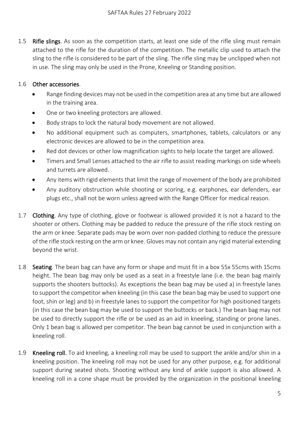1.5 Rifle slings. As soon as the competition starts, at least one side of the rifle sling must remain attached to the rifle for the duration of the competition. The metallic clip used to attach the sling to the rifle is considered to be part of the sling. The rifle sling may be unclipped when not in use. The sling may only be used in the Prone, Kneeling or Standing position.

#### 1.6 Other accessories.

- Range finding devices may not be used in the competition area at any time but are allowed in the training area.
- One or two kneeling protectors are allowed.
- Body straps to lock the natural body movement are not allowed.
- No additional equipment such as computers, smartphones, tablets, calculators or any electronic devices are allowed to be in the competition area.
- Red dot devices or other low magnification sights to help locate the target are allowed.
- Timers and Small Lenses attached to the air rifle to assist reading markings on side wheels and turrets are allowed.
- Any items with rigid elements that limit the range of movement of the body are prohibited
- Any auditory obstruction while shooting or scoring, e.g. earphones, ear defenders, ear plugs etc., shall not be worn unless agreed with the Range Officer for medical reason.
- 1.7 Clothing. Any type of clothing, glove or footwear is allowed provided it is not a hazard to the shooter or others. Clothing may be padded to reduce the pressure of the rifle stock resting on the arm or knee. Separate pads may be worn over non-padded clothing to reduce the pressure of the rifle stock resting on the arm or knee. Gloves may not contain any rigid material extending beyond the wrist.
- 1.8 Seating. The bean bag can have any form or shape and must fit in a box 55x 55cms with 15cms height. The bean bag may only be used as a seat in a freestyle lane (i.e. the bean bag mainly supports the shooters buttocks). As exceptions the bean bag may be used a) in freestyle lanes to support the competitor when kneeling (in this case the bean bag may be used to support one foot, shin or leg) and b) in freestyle lanes to support the competitor for high positioned targets (in this case the bean bag may be used to support the buttocks or back.) The bean bag may not be used to directly support the rifle or be used as an aid in kneeling, standing or prone lanes. Only 1 bean bag is allowed per competitor. The bean bag cannot be used in conjunction with a kneeling roll.
- 1.9 Kneeling roll. To aid kneeling, a kneeling roll may be used to support the ankle and/or shin in a kneeling position. The kneeling roll may not be used for any other purpose, e.g. for additional support during seated shots. Shooting without any kind of ankle support is also allowed. A kneeling roll in a cone shape must be provided by the organization in the positional kneeling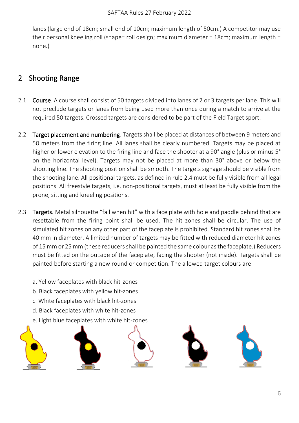lanes (large end of 18cm; small end of 10cm; maximum length of 50cm.) A competitor may use their personal kneeling roll (shape= roll design; maximum diameter = 18cm; maximum length = none.)

# <span id="page-6-0"></span>2 Shooting Range

- <span id="page-6-1"></span>2.1 Course. A course shall consist of 50 targets divided into lanes of 2 or 3 targets per lane. This will not preclude targets or lanes from being used more than once during a match to arrive at the required 50 targets. Crossed targets are considered to be part of the Field Target sport.
- 2.2 Target placement and numbering. Targets shall be placed at distances of between 9 meters and 50 meters from the firing line. All lanes shall be clearly numbered. Targets may be placed at higher or lower elevation to the firing line and face the shooter at a 90° angle (plus or minus 5° on the horizontal level). Targets may not be placed at more than 30° above or below the shooting line. The shooting position shall be smooth. The targets signage should be visible from the shooting lane. All positional targets, as defined in rule 2.4 must be fully visible from all legal positions. All freestyle targets, i.e. non-positional targets, must at least be fully visible from the prone, sitting and kneeling positions.
- 2.3 Targets. Metal silhouette "fall when hit" with a face plate with hole and paddle behind that are resettable from the firing point shall be used. The hit zones shall be circular. The use of simulated hit zones on any other part of the faceplate is prohibited. Standard hit zones shall be 40 mm in diameter. A limited number of targets may be fitted with reduced diameter hit zones of 15 mm or 25 mm (these reducers shall be painted the same colour as the faceplate.) Reducers must be fitted on the outside of the faceplate, facing the shooter (not inside). Targets shall be painted before starting a new round or competition. The allowed target colours are:
	- a. Yellow faceplates with black hit-zones
	- b. Black faceplates with yellow hit-zones
	- c. White faceplates with black hit-zones
	- d. Black faceplates with white hit-zones
	- e. Light blue faceplates with white hit-zones



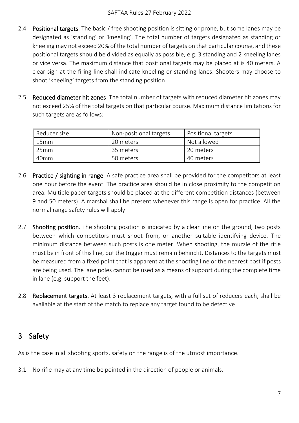- 2.4 Positional targets. The basic / free shooting position is sitting or prone, but some lanes may be designated as 'standing' or 'kneeling'. The total number of targets designated as standing or kneeling may not exceed 20% of the total number of targets on that particular course, and these positional targets should be divided as equally as possible, e.g. 3 standing and 2 kneeling lanes or vice versa. The maximum distance that positional targets may be placed at is 40 meters. A clear sign at the firing line shall indicate kneeling or standing lanes. Shooters may choose to shoot 'kneeling' targets from the standing position.
- <span id="page-7-1"></span>2.5 Reduced diameter hit zones. The total number of targets with reduced diameter hit zones may not exceed 25% of the total targets on that particular course. Maximum distance limitations for such targets are as follows:

| Reducer size     | Non-positional targets | Positional targets |  |  |
|------------------|------------------------|--------------------|--|--|
| 15mm             | 20 meters              | Not allowed        |  |  |
| 25mm             | 35 meters              | 20 meters          |  |  |
| 40 <sub>mm</sub> | 50 meters              | 40 meters          |  |  |

- 2.6 Practice / sighting in range. A safe practice area shall be provided for the competitors at least one hour before the event. The practice area should be in close proximity to the competition area. Multiple paper targets should be placed at the different competition distances (between 9 and 50 meters). A marshal shall be present whenever this range is open for practice. All the normal range safety rules will apply.
- <span id="page-7-2"></span>2.7 **Shooting position**. The shooting position is indicated by a clear line on the ground, two posts between which competitors must shoot from, or another suitable identifying device. The minimum distance between such posts is one meter. When shooting, the muzzle of the rifle must be in front of this line, but the trigger must remain behind it. Distances to the targets must be measured from a fixed point that is apparent at the shooting line or the nearest post if posts are being used. The lane poles cannot be used as a means of support during the complete time in lane (e.g. support the feet).
- 2.8 **Replacement targets**. At least 3 replacement targets, with a full set of reducers each, shall be available at the start of the match to replace any target found to be defective.

## <span id="page-7-0"></span>3 Safety

As is the case in all shooting sports, safety on the range is of the utmost importance.

3.1 No rifle may at any time be pointed in the direction of people or animals.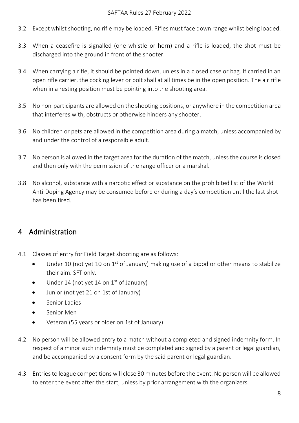- 3.2 Except whilst shooting, no rifle may be loaded. Rifles must face down range whilst being loaded.
- 3.3 When a ceasefire is signalled (one whistle or horn) and a rifle is loaded, the shot must be discharged into the ground in front of the shooter.
- 3.4 When carrying a rifle, it should be pointed down, unless in a closed case or bag. If carried in an open rifle carrier, the cocking lever or bolt shall at all times be in the open position. The air rifle when in a resting position must be pointing into the shooting area.
- 3.5 No non-participants are allowed on the shooting positions, or anywhere in the competition area that interferes with, obstructs or otherwise hinders any shooter.
- 3.6 No children or pets are allowed in the competition area during a match, unless accompanied by and under the control of a responsible adult.
- 3.7 No person is allowed in the target area for the duration of the match, unless the course is closed and then only with the permission of the range officer or a marshal.
- 3.8 No alcohol, substance with a narcotic effect or substance on the prohibited list of the World Anti-Doping Agency may be consumed before or during a day's competition until the last shot has been fired.

## <span id="page-8-0"></span>4 Administration

- 4.1 Classes of entry for Field Target shooting are as follows:
	- Under 10 (not yet 10 on 1<sup>st</sup> of January) making use of a bipod or other means to stabilize their aim. SFT only.
	- Under 14 (not yet 14 on  $1<sup>st</sup>$  of January)
	- Junior (not yet 21 on 1st of January)
	- Senior Ladies
	- Senior Men
	- Veteran (55 years or older on 1st of January).
- 4.2 No person will be allowed entry to a match without a completed and signed indemnity form. In respect of a minor such indemnity must be completed and signed by a parent or legal guardian, and be accompanied by a consent form by the said parent or legal guardian.
- 4.3 Entries to league competitions will close 30 minutes before the event. No person will be allowed to enter the event after the start, unless by prior arrangement with the organizers.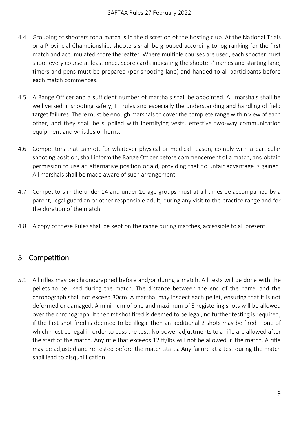- <span id="page-9-1"></span>4.4 Grouping of shooters for a match is in the discretion of the hosting club. At the National Trials or a Provincial Championship, shooters shall be grouped according to log ranking for the first match and accumulated score thereafter. Where multiple courses are used, each shooter must shoot every course at least once. Score cards indicating the shooters' names and starting lane, timers and pens must be prepared (per shooting lane) and handed to all participants before each match commences.
- 4.5 A Range Officer and a sufficient number of marshals shall be appointed. All marshals shall be well versed in shooting safety, FT rules and especially the understanding and handling of field target failures. There must be enough marshals to cover the complete range within view of each other, and they shall be supplied with identifying vests, effective two-way communication equipment and whistles or horns.
- 4.6 Competitors that cannot, for whatever physical or medical reason, comply with a particular shooting position, shall inform the Range Officer before commencement of a match, and obtain permission to use an alternative position or aid, providing that no unfair advantage is gained. All marshals shall be made aware of such arrangement.
- 4.7 Competitors in the under 14 and under 10 age groups must at all times be accompanied by a parent, legal guardian or other responsible adult, during any visit to the practice range and for the duration of the match.
- <span id="page-9-0"></span>4.8 A copy of these Rules shall be kept on the range during matches, accessible to all present.

# 5 Competition

5.1 All rifles may be chronographed before and/or during a match. All tests will be done with the pellets to be used during the match. The distance between the end of the barrel and the chronograph shall not exceed 30cm. A marshal may inspect each pellet, ensuring that it is not deformed or damaged. A minimum of one and maximum of 3 registering shots will be allowed over the chronograph. If the first shot fired is deemed to be legal, no further testing is required; if the first shot fired is deemed to be illegal then an additional 2 shots may be fired – one of which must be legal in order to pass the test. No power adjustments to a rifle are allowed after the start of the match. Any rifle that exceeds 12 ft/lbs will not be allowed in the match. A rifle may be adjusted and re-tested before the match starts. Any failure at a test during the match shall lead to disqualification.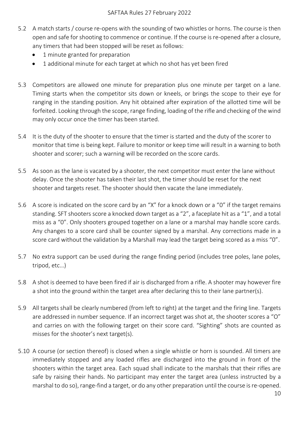- 5.2 A match starts / course re-opens with the sounding of two whistles or horns. The course is then open and safe for shooting to commence or continue. If the course is re-opened after a closure, any timers that had been stopped will be reset as follows:
	- 1 minute granted for preparation
	- 1 additional minute for each target at which no shot has yet been fired
- 5.3 Competitors are allowed one minute for preparation plus one minute per target on a lane. Timing starts when the competitor sits down or kneels, or brings the scope to their eye for ranging in the standing position. Any hit obtained after expiration of the allotted time will be forfeited. Looking through the scope, range finding, loading of the rifle and checking of the wind may only occur once the timer has been started.
- 5.4 It is the duty of the shooter to ensure that the timer is started and the duty of the scorer to monitor that time is being kept. Failure to monitor or keep time will result in a warning to both shooter and scorer; such a warning will be recorded on the score cards.
- 5.5 As soon as the lane is vacated by a shooter, the next competitor must enter the lane without delay. Once the shooter has taken their last shot, the timer should be reset for the next shooter and targets reset. The shooter should then vacate the lane immediately.
- 5.6 A score is indicated on the score card by an "X" for a knock down or a "0" if the target remains standing. SFT shooters score a knocked down target as a "2", a faceplate hit as a "1", and a total miss as a "0". Only shooters grouped together on a lane or a marshal may handle score cards. Any changes to a score card shall be counter signed by a marshal. Any corrections made in a score card without the validation by a Marshall may lead the target being scored as a miss "0".
- 5.7 No extra support can be used during the range finding period (includes tree poles, lane poles, tripod, etc…)
- 5.8 A shot is deemed to have been fired if air is discharged from a rifle. A shooter may however fire a shot into the ground within the target area after declaring this to their lane partner(s).
- 5.9 All targets shall be clearly numbered (from left to right) at the target and the firing line. Targets are addressed in number sequence. If an incorrect target was shot at, the shooter scores a "O" and carries on with the following target on their score card. "Sighting" shots are counted as misses for the shooter's next target(s).
- 5.10 A course (or section thereof) is closed when a single whistle or horn is sounded. All timers are immediately stopped and any loaded rifles are discharged into the ground in front of the shooters within the target area. Each squad shall indicate to the marshals that their rifles are safe by raising their hands. No participant may enter the target area (unless instructed by a marshal to do so), range-find a target, or do any other preparation until the course is re-opened.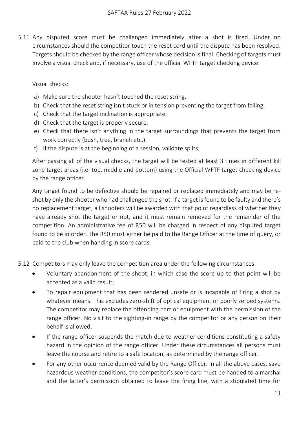5.11 Any disputed score must be challenged immediately after a shot is fired. Under no circumstances should the competitor touch the reset cord until the dispute has been resolved. Targets should be checked by the range officer whose decision is final. Checking of targets must involve a visual check and, if necessary, use of the official WFTF target checking device.

Visual checks:

- a) Make sure the shooter hasn't touched the reset string.
- b) Check that the reset string isn't stuck or in tension preventing the target from falling.
- c) Check that the target inclination is appropriate.
- d) Check that the target is properly secure.
- e) Check that there isn't anything in the target surroundings that prevents the target from work correctly (bush, tree, branch etc.).
- f) If the dispute is at the beginning of a session, validate splits;

After passing all of the visual checks, the target will be tested at least 3 times in different kill zone target areas (i.e. top, middle and bottom) using the Official WFTF target checking device by the range officer.

Any target found to be defective should be repaired or replaced immediately and may be reshot by only the shooter who had challenged the shot. If a target is found to be faulty and there's no replacement target, all shooters will be awarded with that point regardless of whether they have already shot the target or not, and it must remain removed for the remainder of the competition. An administrative fee of R50 will be charged in respect of any disputed target found to be in order. The R50 must either be paid to the Range Officer at the time of query, or paid to the club when handing in score cards.

5.12 Competitors may only leave the competition area under the following circumstances:

- Voluntary abandonment of the shoot, in which case the score up to that point will be accepted as a valid result;
- To repair equipment that has been rendered unsafe or is incapable of firing a shot by whatever means. This excludes zero-shift of optical equipment or poorly zeroed systems. The competitor may replace the offending part or equipment with the permission of the range officer. No visit to the sighting-in range by the competitor or any person on their behalf is allowed;
- If the range officer suspends the match due to weather conditions constituting a safety hazard in the opinion of the range officer. Under these circumstances all persons must leave the course and retire to a safe location, as determined by the range officer.
- For any other occurrence deemed valid by the Range Officer. In all the above cases, save hazardous weather conditions, the competitor's score card must be handed to a marshal and the latter's permission obtained to leave the firing line, with a stipulated time for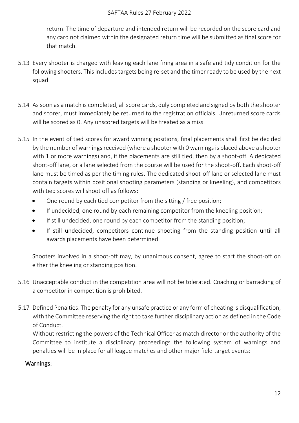return. The time of departure and intended return will be recorded on the score card and any card not claimed within the designated return time will be submitted as final score for that match.

- 5.13 Every shooter is charged with leaving each lane firing area in a safe and tidy condition for the following shooters. This includes targets being re-set and the timer ready to be used by the next squad.
- 5.14 As soon as a match is completed, all score cards, duly completed and signed by both the shooter and scorer, must immediately be returned to the registration officials. Unreturned score cards will be scored as 0. Any unscored targets will be treated as a miss.
- 5.15 In the event of tied scores for award winning positions, final placements shall first be decided by the number of warnings received (where a shooter with 0 warnings is placed above a shooter with 1 or more warnings) and, if the placements are still tied, then by a shoot-off. A dedicated shoot-off lane, or a lane selected from the course will be used for the shoot-off. Each shoot-off lane must be timed as per the timing rules. The dedicated shoot-off lane or selected lane must contain targets within positional shooting parameters (standing or kneeling), and competitors with tied scores will shoot off as follows:
	- One round by each tied competitor from the sitting / free position;
	- If undecided, one round by each remaining competitor from the kneeling position;
	- If still undecided, one round by each competitor from the standing position;
	- If still undecided, competitors continue shooting from the standing position until all awards placements have been determined.

Shooters involved in a shoot-off may, by unanimous consent, agree to start the shoot-off on either the kneeling or standing position.

- 5.16 Unacceptable conduct in the competition area will not be tolerated. Coaching or barracking of a competitor in competition is prohibited.
- 5.17 Defined Penalties. The penalty for any unsafe practice or any form of cheating is disqualification, with the Committee reserving the right to take further disciplinary action as defined in the Code of Conduct.

Without restricting the powers of the Technical Officer as match director or the authority of the Committee to institute a disciplinary proceedings the following system of warnings and penalties will be in place for all league matches and other major field target events:

### Warnings: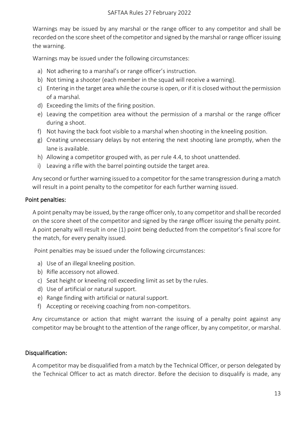Warnings may be issued by any marshal or the range officer to any competitor and shall be recorded on the score sheet of the competitor and signed by the marshal or range officer issuing the warning.

Warnings may be issued under the following circumstances:

- a) Not adhering to a marshal's or range officer's instruction.
- b) Not timing a shooter (each member in the squad will receive a warning).
- c) Entering in the target area while the course is open, or if it is closed without the permission of a marshal.
- d) Exceeding the limits of the firing position.
- e) Leaving the competition area without the permission of a marshal or the range officer during a shoot.
- f) Not having the back foot visible to a marshal when shooting in the kneeling position.
- g) Creating unnecessary delays by not entering the next shooting lane promptly, when the lane is available.
- h) Allowing a competitor grouped with, as per rule [4.4,](#page-9-1) to shoot unattended.
- i) Leaving a rifle with the barrel pointing outside the target area.

Any second or further warning issued to a competitor for the same transgression during a match will result in a point penalty to the competitor for each further warning issued.

#### Point penalties:

A point penalty may be issued, by the range officer only, to any competitor and shall be recorded on the score sheet of the competitor and signed by the range officer issuing the penalty point. A point penalty will result in one (1) point being deducted from the competitor's final score for the match, for every penalty issued.

Point penalties may be issued under the following circumstances:

- a) Use of an illegal kneeling position.
- b) Rifle accessory not allowed.
- c) Seat height or kneeling roll exceeding limit as set by the rules.
- d) Use of artificial or natural support.
- e) Range finding with artificial or natural support.
- f) Accepting or receiving coaching from non-competitors.

Any circumstance or action that might warrant the issuing of a penalty point against any competitor may be brought to the attention of the range officer, by any competitor, or marshal.

#### Disqualification:

A competitor may be disqualified from a match by the Technical Officer, or person delegated by the Technical Officer to act as match director. Before the decision to disqualify is made, any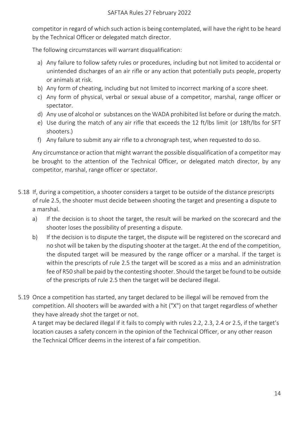competitor in regard of which such action is being contemplated, will have the right to be heard by the Technical Officer or delegated match director.

The following circumstances will warrant disqualification:

- a) Any failure to follow safety rules or procedures, including but not limited to accidental or unintended discharges of an air rifle or any action that potentially puts people, property or animals at risk.
- b) Any form of cheating, including but not limited to incorrect marking of a score sheet.
- c) Any form of physical, verbal or sexual abuse of a competitor, marshal, range officer or spectator.
- d) Any use of alcohol or substances on the WADA prohibited list before or during the match.
- e) Use during the match of any air rifle that exceeds the 12 ft/lbs limit (or 18ft/lbs for SFT shooters.)
- f) Any failure to submit any air rifle to a chronograph test, when requested to do so.

Any circumstance or action that might warrant the possible disqualification of a competitor may be brought to the attention of the Technical Officer, or delegated match director, by any competitor, marshal, range officer or spectator.

- 5.18 If, during a competition, a shooter considers a target to be outside of the distance prescripts of rule [2.5,](#page-7-1) the shooter must decide between shooting the target and presenting a dispute to a marshal.
	- a) If the decision is to shoot the target, the result will be marked on the scorecard and the shooter loses the possibility of presenting a dispute.
	- b) If the decision is to dispute the target, the dispute will be registered on the scorecard and no shot will be taken by the disputing shooter at the target. At the end of the competition, the disputed target will be measured by the range officer or a marshal. If the target is within the prescripts of rule [2.5](#page-7-1) the target will be scored as a miss and an administration fee of R50 shall be paid by the contesting shooter. Should the target be found to be outside of the prescripts of rule [2.5](#page-7-1) then the target will be declared illegal.
- 5.19 Once a competition has started, any target declared to be illegal will be removed from the competition. All shooters will be awarded with a hit ("X") on that target regardless of whether they have already shot the target or not.

<span id="page-14-0"></span>A target may be declared illegal if it fails to comply with rules 2.2, 2.3, 2.4 or 2.5, if the target's location causes a safety concern in the opinion of the Technical Officer, or any other reason the Technical Officer deems in the interest of a fair competition.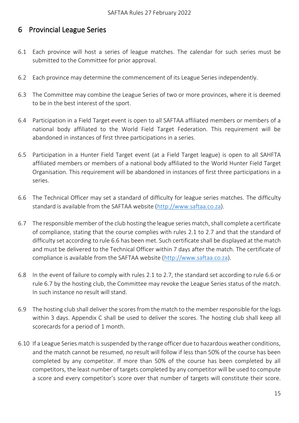### 6 Provincial League Series

- 6.1 Each province will host a series of league matches. The calendar for such series must be submitted to the Committee for prior approval.
- 6.2 Each province may determine the commencement of its League Series independently.
- 6.3 The Committee may combine the League Series of two or more provinces, where it is deemed to be in the best interest of the sport.
- 6.4 Participation in a Field Target event is open to all SAFTAA affiliated members or members of a national body affiliated to the World Field Target Federation. This requirement will be abandoned in instances of first three participations in a series.
- 6.5 Participation in a Hunter Field Target event (at a Field Target league) is open to all SAHFTA affiliated members or members of a national body affiliated to the World Hunter Field Target Organisation. This requirement will be abandoned in instances of first three participations in a series.
- <span id="page-15-0"></span>6.6 The Technical Officer may set a standard of difficulty for league series matches. The difficulty standard is available from the SAFTAA website [\(http://www.saftaa.co.za\)](http://www.saftaa.co.za/).
- <span id="page-15-1"></span>6.7 The responsible member of the club hosting the league series match, shall complete a certificate of compliance, stating that the course complies with rules [2.1](#page-6-1) to [2.7](#page-7-2) and that the standard of difficulty set according to rule [6.6](#page-15-0) has been met. Such certificate shall be displayed at the match and must be delivered to the Technical Officer within 7 days after the match. The certificate of compliance is available from the SAFTAA website [\(http://www.saftaa.co.za\)](http://www.saftaa.co.za/).
- 6.8 In the event of failure to comply with rules [2.1](#page-6-1) to [2.7,](#page-7-2) the standard set according to rule [6.6](#page-15-0) or rule [6.7](#page-15-1) by the hosting club, the Committee may revoke the League Series status of the match. In such instance no result will stand.
- 6.9 The hosting club shall deliver the scores from the match to the member responsible for the logs within 3 days. Appendix C shall be used to deliver the scores. The hosting club shall keep all scorecards for a period of 1 month.
- 6.10 If a League Series match is suspended by the range officer due to hazardous weather conditions, and the match cannot be resumed, no result will follow if less than 50% of the course has been completed by any competitor. If more than 50% of the course has been completed by all competitors, the least number of targets completed by any competitor will be used to compute a score and every competitor's score over that number of targets will constitute their score.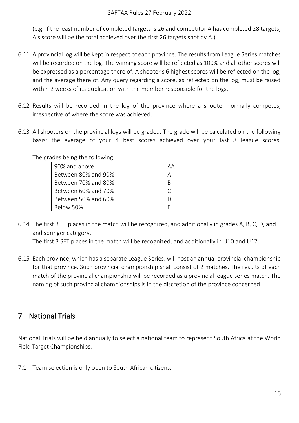(e.g. if the least number of completed targets is 26 and competitor A has completed 28 targets, A's score will be the total achieved over the first 26 targets shot by A.)

- 6.11 A provincial log will be kept in respect of each province. The results from League Series matches will be recorded on the log. The winning score will be reflected as 100% and all other scores will be expressed as a percentage there of. A shooter's 6 highest scores will be reflected on the log, and the average there of. Any query regarding a score, as reflected on the log, must be raised within 2 weeks of its publication with the member responsible for the logs.
- 6.12 Results will be recorded in the log of the province where a shooter normally competes, irrespective of where the score was achieved.
- 6.13 All shooters on the provincial logs will be graded. The grade will be calculated on the following basis: the average of your 4 best scores achieved over your last 8 league scores.

The grades being the following:

| 90% and above       | AА |
|---------------------|----|
| Between 80% and 90% | А  |
| Between 70% and 80% | B  |
| Between 60% and 70% |    |
| Between 50% and 60% |    |
| Below 50%           |    |

6.14 The first 3 FT places in the match will be recognized, and additionally in grades A, B, C, D, and E and springer category.

The first 3 SFT places in the match will be recognized, and additionally in U10 and U17.

6.15 Each province, which has a separate League Series, will host an annual provincial championship for that province. Such provincial championship shall consist of 2 matches. The results of each match of the provincial championship will be recorded as a provincial league series match. The naming of such provincial championships is in the discretion of the province concerned.

## <span id="page-16-0"></span>7 National Trials

National Trials will be held annually to select a national team to represent South Africa at the World Field Target Championships.

7.1 Team selection is only open to South African citizens.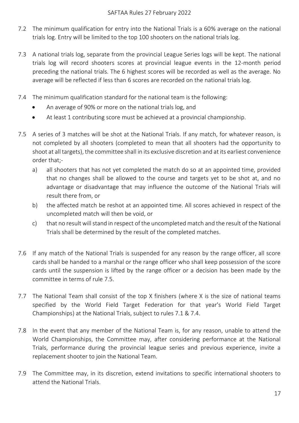- 7.2 The minimum qualification for entry into the National Trials is a 60% average on the national trials log. Entry will be limited to the top 100 shooters on the national trials log.
- 7.3 A national trials log, separate from the provincial League Series logs will be kept. The national trials log will record shooters scores at provincial league events in the 12-month period preceding the national trials. The 6 highest scores will be recorded as well as the average. No average will be reflected if less than 6 scores are recorded on the national trials log.
- 7.4 The minimum qualification standard for the national team is the following:
	- An average of 90% or more on the national trials log, and
	- At least 1 contributing score must be achieved at a provincial championship.
- <span id="page-17-0"></span>7.5 A series of 3 matches will be shot at the National Trials. If any match, for whatever reason, is not completed by all shooters (completed to mean that all shooters had the opportunity to shoot at all targets), the committee shall in its exclusive discretion and at its earliest convenience order that;
	- a) all shooters that has not yet completed the match do so at an appointed time, provided that no changes shall be allowed to the course and targets yet to be shot at, and no advantage or disadvantage that may influence the outcome of the National Trials will result there from, or
	- b) the affected match be reshot at an appointed time. All scores achieved in respect of the uncompleted match will then be void, or
	- c) that no result will stand in respect of the uncompleted match and the result of the National Trials shall be determined by the result of the completed matches.
- 7.6 If any match of the National Trials is suspended for any reason by the range officer, all score cards shall be handed to a marshal or the range officer who shall keep possession of the score cards until the suspension is lifted by the range officer or a decision has been made by the committee in terms of rule [7.5.](#page-17-0)
- 7.7 The National Team shall consist of the top X finishers (where X is the size of national teams specified by the World Field Target Federation for that year's World Field Target Championships) at the National Trials, subject to rules 7.1 & 7.4.
- 7.8 In the event that any member of the National Team is, for any reason, unable to attend the World Championships, the Committee may, after considering performance at the National Trials, performance during the provincial league series and previous experience, invite a replacement shooter to join the National Team.
- 7.9 The Committee may, in its discretion, extend invitations to specific international shooters to attend the National Trials.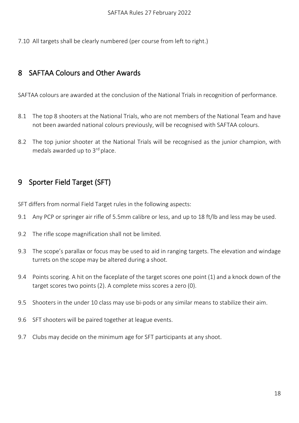7.10 All targets shall be clearly numbered (per course from left to right.)

## <span id="page-18-0"></span>8 SAFTAA Colours and Other Awards

SAFTAA colours are awarded at the conclusion of the National Trials in recognition of performance.

- 8.1 The top 8 shooters at the National Trials, who are not members of the National Team and have not been awarded national colours previously, will be recognised with SAFTAA colours.
- 8.2 The top junior shooter at the National Trials will be recognised as the junior champion, with medals awarded up to 3<sup>rd</sup> place.

# <span id="page-18-1"></span>9 Sporter Field Target (SFT)

SFT differs from normal Field Target rules in the following aspects:

- 9.1 Any PCP or springer air rifle of 5.5mm calibre or less, and up to 18 ft/lb and less may be used.
- 9.2 The rifle scope magnification shall not be limited.
- 9.3 The scope's parallax or focus may be used to aid in ranging targets. The elevation and windage turrets on the scope may be altered during a shoot.
- 9.4 Points scoring. A hit on the faceplate of the target scores one point (1) and a knock down of the target scores two points (2). A complete miss scores a zero (0).
- 9.5 Shooters in the under 10 class may use bi-pods or any similar means to stabilize their aim.
- 9.6 SFT shooters will be paired together at league events.
- 9.7 Clubs may decide on the minimum age for SFT participants at any shoot.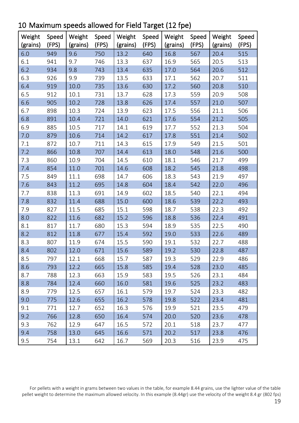| Weight<br>(grains) | Speed<br>(FPS) | Weight<br>(grains) | Speed<br>(FPS) | Weight<br>(grains) | Speed<br>(FPS) | Weight<br>(grains) | Speed<br>(FPS) | Weight<br>(grains) | Speed<br>(FPS) |
|--------------------|----------------|--------------------|----------------|--------------------|----------------|--------------------|----------------|--------------------|----------------|
| 6.0                | 949            | 9.6                | 750            | 13.2               | 640            | 16.8               | 567            | 20.4               | 515            |
| 6.1                | 941            | 9.7                | 746            | 13.3               | 637            | 16.9               | 565            | 20.5               | 513            |
| 6.2                | 934            | 9.8                | 743            | 13.4               | 635            | 17.0               | 564            | 20.6               | 512            |
| 6.3                | 926            | 9.9                | 739            | 13.5               | 633            | 17.1               | 562            | 20.7               | 511            |
| 6.4                | 919            | 10.0               | 735            | 13.6               | 630            | 17.2               | 560            | 20.8               | 510            |
| 6.5                | 912            | 10.1               | 731            | 13.7               | 628            | 17.3               | 559            | 20.9               | 508            |
| 6.6                | 905            | 10.2               | 728            | 13.8               | 626            | 17.4               | 557            | 21.0               | 507            |
| 6.7                | 898            | 10.3               | 724            | 13.9               | 623            | 17.5               | 556            | 21.1               | 506            |
| 6.8                | 891            | 10.4               | 721            | 14.0               | 621            | 17.6               | 554            | 21.2               | 505            |
| 6.9                | 885            | 10.5               | 717            | 14.1               | 619            | 17.7               | 552            | 21.3               | 504            |
| 7.0                | 879            | 10.6               | 714            | 14.2               | 617            | 17.8               | 551            | 21.4               | 502            |
| 7.1                | 872            | 10.7               | 711            | 14.3               | 615            | 17.9               | 549            | 21.5               | 501            |
| 7.2                | 866            | 10.8               | 707            | 14.4               | 613            | 18.0               | 548            | 21.6               | 500            |
| 7.3                | 860            | 10.9               | 704            | 14.5               | 610            | 18.1               | 546            | 21.7               | 499            |
| 7.4                | 854            | 11.0               | 701            | 14.6               | 608            | 18.2               | 545            | 21.8               | 498            |
| 7.5                | 849            | 11.1               | 698            | 14.7               | 606            | 18.3               | 543            | 21.9               | 497            |
| 7.6                | 843            | 11.2               | 695            | 14.8               | 604            | 18.4               | 542            | 22.0               | 496            |
| 7.7                | 838            | 11.3               | 691            | 14.9               | 602            | 18.5               | 540            | 22.1               | 494            |
| 7.8                | 832            | 11.4               | 688            | 15.0               | 600            | 18.6               | 539            | 22.2               | 493            |
| 7.9                | 827            | 11.5               | 685            | 15.1               | 598            | 18.7               | 538            | 22.3               | 492            |
| 8.0                | 822            | 11.6               | 682            | 15.2               | 596            | 18.8               | 536            | 22.4               | 491            |
| 8.1                | 817            | 11.7               | 680            | 15.3               | 594            | 18.9               | 535            | 22.5               | 490            |
| 8.2                | 812            | 11.8               | 677            | 15.4               | 592            | 19.0               | 533            | 22.6               | 489            |
| 8.3                | 807            | 11.9               | 674            | 15.5               | 590            | 19.1               | 532            | 22.7               | 488            |
| 8.4                | 802            | 12.0               | 671            | 15.6               | 589            | 19.2               | 530            | 22.8               | 487            |
| 8.5                | 797            | 12.1               | 668            | 15.7               | 587            | 19.3               | 529            | 22.9               | 486            |
| 8.6                | 793            | 12.2               | 665            | 15.8               | 585            | 19.4               | 528            | 23.0               | 485            |
| 8.7                | 788            | 12.3               | 663            | 15.9               | 583            | 19.5               | 526            | 23.1               | 484            |
| 8.8                | 784            | 12.4               | 660            | 16.0               | 581            | 19.6               | 525            | 23.2               | 483            |
| 8.9                | 779            | 12.5               | 657            | 16.1               | 579            | 19.7               | 524            | 23.3               | 482            |
| 9.0                | 775            | 12.6               | 655            | 16.2               | 578            | 19.8               | 522            | 23.4               | 481            |
| 9.1                | 771            | 12.7               | 652            | 16.3               | 576            | 19.9               | 521            | 23.5               | 479            |
| 9.2                | 766            | 12.8               | 650            | 16.4               | 574            | 20.0               | 520            | 23.6               | 478            |
| 9.3                | 762            | 12.9               | 647            | 16.5               | 572            | 20.1               | 518            | 23.7               | 477            |
| 9.4                | 758            | 13.0               | 645            | 16.6               | 571            | 20.2               | 517            | 23.8               | 476            |
| 9.5                | 754            | 13.1               | 642            | 16.7               | 569            | 20.3               | 516            | 23.9               | 475            |

<span id="page-19-0"></span>10 Maximum speeds allowed for Field Target (12 fpe)

For pellets with a weight in grams between two values in the table, for example 8.44 grains, use the lighter value of the table pellet weight to determine the maximum allowed velocity. In this example (8.44gr) use the velocity of the weight 8.4 gr (802 fps)